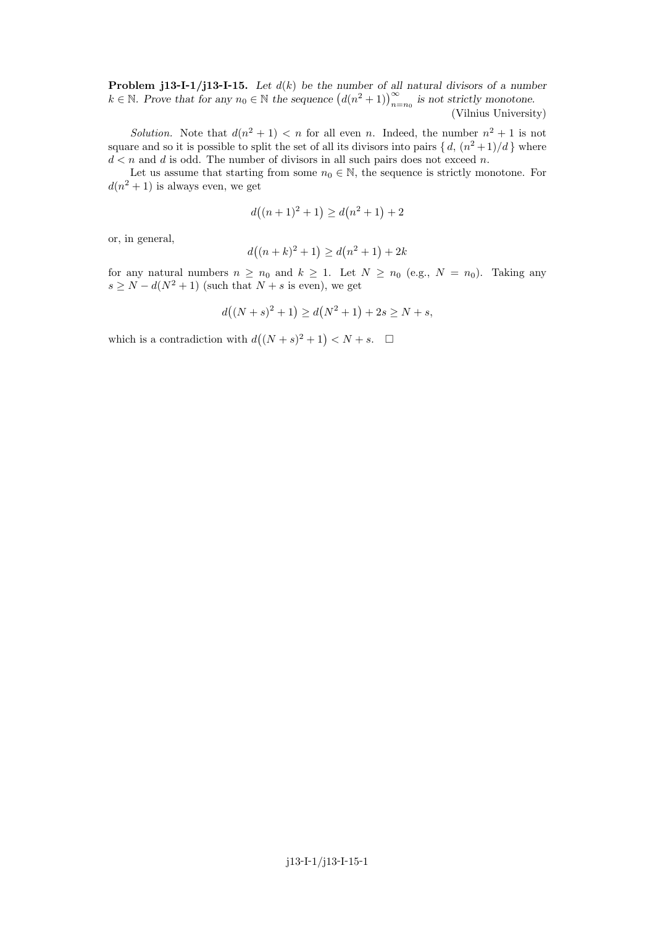**Problem j13-I-1/j13-I-15.** Let  $d(k)$  be the number of all natural divisors of a number  $k \in \mathbb{N}$ . Prove that for any  $n_0 \in \mathbb{N}$  the sequence  $(d(n^2 + 1))_{n=n_0}^{\infty}$  is not strictly monotone.

(Vilnius University)

Solution. Note that  $d(n^2 + 1) < n$  for all even n. Indeed, the number  $n^2 + 1$  is not square and so it is possible to split the set of all its divisors into pairs  $\{d, (n^2+1)/d\}$  where  $d < n$  and d is odd. The number of divisors in all such pairs does not exceed n.

Let us assume that starting from some  $n_0 \in \mathbb{N}$ , the sequence is strictly monotone. For  $d(n^2+1)$  is always even, we get

$$
d((n+1)^2 + 1) \ge d(n^2 + 1) + 2
$$

or, in general,

$$
d((n+k)^2 + 1) \ge d(n^2 + 1) + 2k
$$

for any natural numbers  $n \ge n_0$  and  $k \ge 1$ . Let  $N \ge n_0$  (e.g.,  $N = n_0$ ). Taking any  $s \ge N - d(N^2 + 1)$  (such that  $N + s$  is even), we get

$$
d((N+s)^2 + 1) \ge d(N^2+1) + 2s \ge N + s,
$$

which is a contradiction with  $d((N + s)^2 + 1) < N + s$ .  $\Box$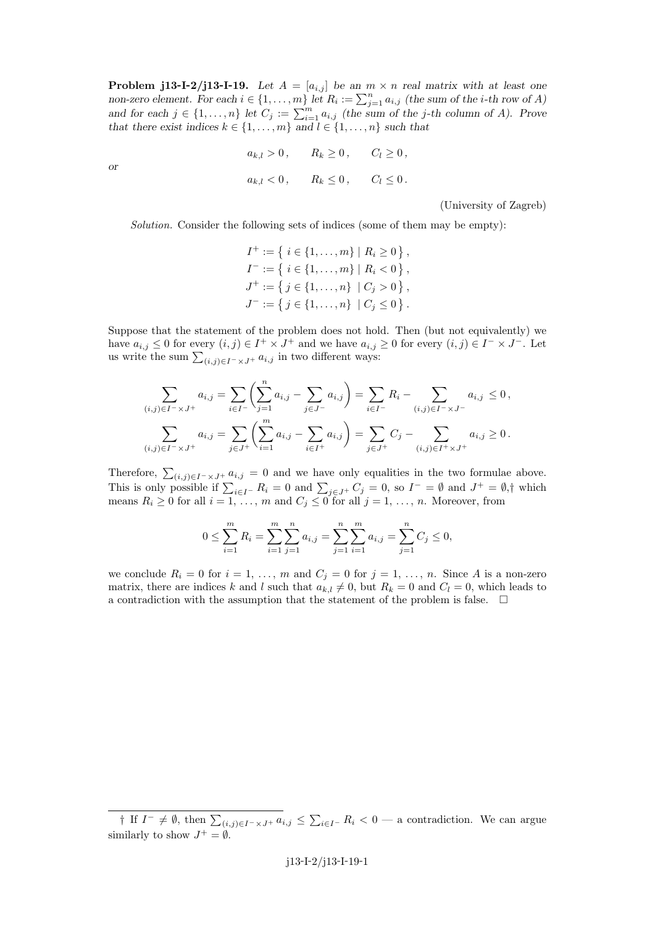**Problem j13-I-2/j13-I-19.** Let  $A = [a_{i,j}]$  be an  $m \times n$  real matrix with at least one non-zero element. For each  $i \in \{1, \ldots, m\}$  let  $R_i := \sum_{j=1}^n a_{i,j}$  (the sum of the *i*-th row of *A*) and for each  $j \in \{1, \ldots, n\}$  let  $C_j := \sum_{i=1}^m a_{i,j}$  (the sum of the j-th column of A). Prove that there exist indices  $k \in \{1, \ldots, m\}$  and  $l \in \{1, \ldots, n\}$  such that

> $a_{k,l} > 0$ ,  $R_k \ge 0$ ,  $C_l \ge 0$ ,  $a_{k,l} < 0$ ,  $R_k \le 0$ ,  $C_l \le 0$ .

or

(University of Zagreb)

Solution. Consider the following sets of indices (some of them may be empty):

 $I^+ := \{ i \in \{1, \ldots, m\} \mid R_i \ge 0 \},\,$  $I^- := \{ i \in \{1, \ldots, m\} \mid R_i < 0 \},\$  $J^+ := \{ j \in \{1, \ldots, n\} \mid C_j > 0 \},$  $J^- := \{ j \in \{1, \ldots, n\} \mid C_j \leq 0 \}$ .

Suppose that the statement of the problem does not hold. Then (but not equivalently) we have  $a_{i,j} \leq 0$  for every  $(i,j) \in I^+ \times J^+$  and we have  $a_{i,j} \geq 0$  for every  $(i,j) \in I^- \times J^-$ . Let us write the sum  $\sum_{(i,j)\in I^-\times J^+} a_{i,j}$  in two different ways:

$$
\sum_{(i,j)\in I^{-} \times J^{+}} a_{i,j} = \sum_{i\in I^{-}} \left( \sum_{j=1}^{n} a_{i,j} - \sum_{j\in J^{-}} a_{i,j} \right) = \sum_{i\in I^{-}} R_{i} - \sum_{(i,j)\in I^{-} \times J^{-}} a_{i,j} \leq 0,
$$
  

$$
\sum_{(i,j)\in I^{-} \times J^{+}} a_{i,j} = \sum_{j\in J^{+}} \left( \sum_{i=1}^{m} a_{i,j} - \sum_{i\in I^{+}} a_{i,j} \right) = \sum_{j\in J^{+}} C_{j} - \sum_{(i,j)\in I^{+} \times J^{+}} a_{i,j} \geq 0.
$$

Therefore,  $\sum_{(i,j)\in I^-\times J^+} a_{i,j} = 0$  and we have only equalities in the two formulae above. This is only possible if  $\sum_{i\in I^-} R_i = 0$  and  $\sum_{j\in J^+} C_j = 0$ , so  $I^- = \emptyset$  and  $J^+ = \emptyset$ ,† which means  $R_i \geq 0$  for all  $i = 1, \ldots, m$  and  $C_j \leq 0$  for all  $j = 1, \ldots, n$ . Moreover, from

$$
0 \le \sum_{i=1}^{m} R_i = \sum_{i=1}^{m} \sum_{j=1}^{n} a_{i,j} = \sum_{j=1}^{n} \sum_{i=1}^{m} a_{i,j} = \sum_{j=1}^{n} C_j \le 0,
$$

we conclude  $R_i = 0$  for  $i = 1, \ldots, m$  and  $C_j = 0$  for  $j = 1, \ldots, n$ . Since A is a non-zero matrix, there are indices k and l such that  $a_{k,l} \neq 0$ , but  $R_k = 0$  and  $C_l = 0$ , which leads to a contradiction with the assumption that the statement of the problem is false.  $\Box$ 

<sup>†</sup> If  $I^- \neq \emptyset$ , then  $\sum_{(i,j)\in I^-\times J^+} a_{i,j} \leq \sum_{i\in I^-} R_i < 0$  — a contradiction. We can argue similarly to show  $J^+ = \emptyset$ .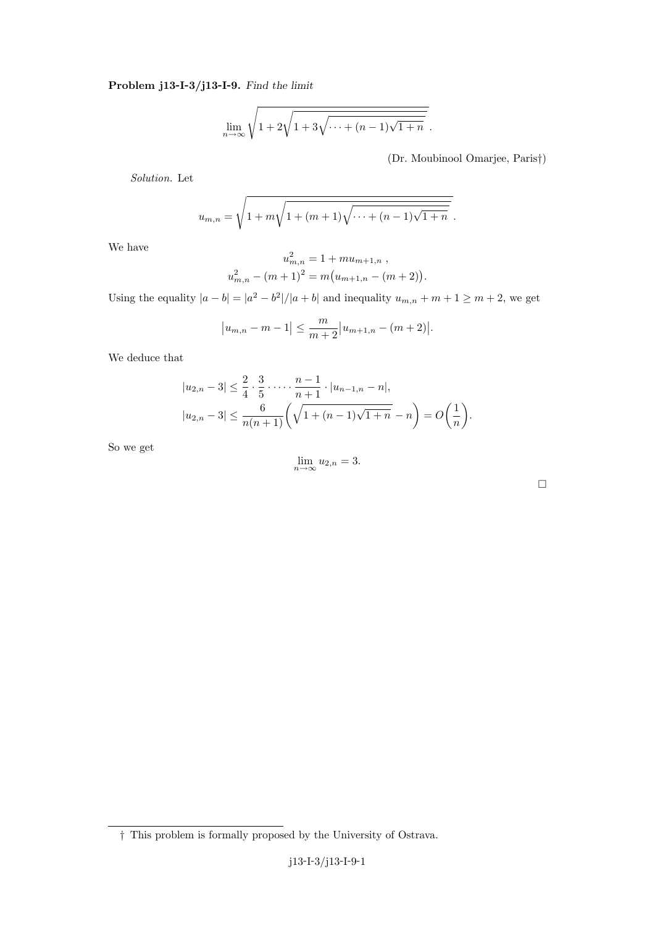## Problem j13-I-3/j13-I-9. Find the limit

$$
\lim_{n \to \infty} \sqrt{1 + 2\sqrt{1 + 3\sqrt{\cdots + (n-1)\sqrt{1+n}}}}.
$$

(Dr. Moubinool Omarjee, Paris†)

Solution. Let

$$
u_{m,n} = \sqrt{1 + m\sqrt{1 + (m+1)\sqrt{\cdots + (n-1)\sqrt{1+n}}}}.
$$

We have

$$
u_{m,n}^{2} = 1 + mu_{m+1,n} ,
$$
  

$$
u_{m,n}^{2} - (m+1)^{2} = m(u_{m+1,n} - (m+2)).
$$

Using the equality  $|a - b| = |a^2 - b^2|/|a + b|$  and inequality  $u_{m,n} + m + 1 \ge m + 2$ , we get

$$
|u_{m,n} - m - 1| \leq \frac{m}{m+2} |u_{m+1,n} - (m+2)|.
$$

We deduce that

$$
|u_{2,n} - 3| \le \frac{2}{4} \cdot \frac{3}{5} \cdot \dots \cdot \frac{n-1}{n+1} \cdot |u_{n-1,n} - n|,
$$
  

$$
|u_{2,n} - 3| \le \frac{6}{n(n+1)} \left(\sqrt{1 + (n-1)\sqrt{1+n}} - n\right) = O\left(\frac{1}{n}\right).
$$

So we get

$$
\lim_{n \to \infty} u_{2,n} = 3.
$$

<sup>†</sup> This problem is formally proposed by the University of Ostrava.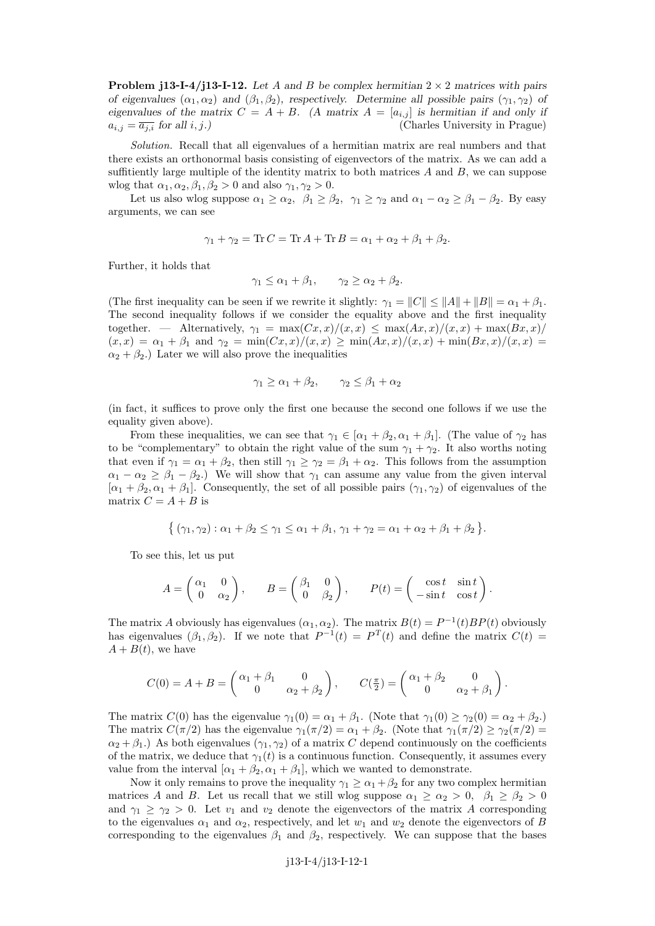**Problem j13-I-4/j13-I-12.** Let A and B be complex hermitian  $2 \times 2$  matrices with pairs of eigenvalues  $(\alpha_1, \alpha_2)$  and  $(\beta_1, \beta_2)$ , respectively. Determine all possible pairs  $(\gamma_1, \gamma_2)$  of eigenvalues of the matrix  $C = A + B$ . (A matrix  $A = [a_{i,j}]$  is hermitian if and only if  $a_{i,j} = \overline{a_{j,i}}$  for all  $i, j$ .) (Charles University in Prague)

Solution. Recall that all eigenvalues of a hermitian matrix are real numbers and that there exists an orthonormal basis consisting of eigenvectors of the matrix. As we can add a suffitiently large multiple of the identity matrix to both matrices  $A$  and  $B$ , we can suppose wlog that  $\alpha_1, \alpha_2, \beta_1, \beta_2 > 0$  and also  $\gamma_1, \gamma_2 > 0$ .

Let us also wlog suppose  $\alpha_1 \geq \alpha_2$ ,  $\beta_1 \geq \beta_2$ ,  $\gamma_1 \geq \gamma_2$  and  $\alpha_1 - \alpha_2 \geq \beta_1 - \beta_2$ . By easy arguments, we can see

$$
\gamma_1 + \gamma_2 = \text{Tr}\, C = \text{Tr}\, A + \text{Tr}\, B = \alpha_1 + \alpha_2 + \beta_1 + \beta_2.
$$

Further, it holds that

$$
\gamma_1 \le \alpha_1 + \beta_1, \qquad \gamma_2 \ge \alpha_2 + \beta_2.
$$

(The first inequality can be seen if we rewrite it slightly:  $\gamma_1 = ||C|| \le ||A|| + ||B|| = \alpha_1 + \beta_1$ . The second inequality follows if we consider the equality above and the first inequality together. — Alternatively,  $\gamma_1 = \max(Cx, x)/(x, x) \leq \max(Ax, x)/(x, x) + \max(Bx, x)/$  $(x, x) = \alpha_1 + \beta_1$  and  $\gamma_2 = \min(Cx, x)/(x, x) \ge \min(Ax, x)/(x, x) + \min(Bx, x)/(x, x) =$  $\alpha_2 + \beta_2$ .) Later we will also prove the inequalities

$$
\gamma_1 \ge \alpha_1 + \beta_2, \qquad \gamma_2 \le \beta_1 + \alpha_2
$$

(in fact, it suffices to prove only the first one because the second one follows if we use the equality given above).

From these inequalities, we can see that  $\gamma_1 \in [\alpha_1 + \beta_2, \alpha_1 + \beta_1]$ . (The value of  $\gamma_2$  has to be "complementary" to obtain the right value of the sum  $\gamma_1 + \gamma_2$ . It also worths noting that even if  $\gamma_1 = \alpha_1 + \beta_2$ , then still  $\gamma_1 \geq \gamma_2 = \beta_1 + \alpha_2$ . This follows from the assumption  $\alpha_1 - \alpha_2 \geq \beta_1 - \beta_2$ .) We will show that  $\gamma_1$  can assume any value from the given interval  $[\alpha_1 + \beta_2, \alpha_1 + \beta_1]$ . Consequently, the set of all possible pairs  $(\gamma_1, \gamma_2)$  of eigenvalues of the matrix  $C = A + B$  is

$$
\{ (\gamma_1, \gamma_2) : \alpha_1 + \beta_2 \le \gamma_1 \le \alpha_1 + \beta_1, \gamma_1 + \gamma_2 = \alpha_1 + \alpha_2 + \beta_1 + \beta_2 \}.
$$

To see this, let us put

$$
A = \begin{pmatrix} \alpha_1 & 0 \\ 0 & \alpha_2 \end{pmatrix}, \qquad B = \begin{pmatrix} \beta_1 & 0 \\ 0 & \beta_2 \end{pmatrix}, \qquad P(t) = \begin{pmatrix} \cos t & \sin t \\ -\sin t & \cos t \end{pmatrix}.
$$

The matrix A obviously has eigenvalues  $(\alpha_1, \alpha_2)$ . The matrix  $B(t) = P^{-1}(t)BP(t)$  obviously has eigenvalues  $(\beta_1, \beta_2)$ . If we note that  $P^{-1}(t) = P^{T}(t)$  and define the matrix  $C(t) =$  $A + B(t)$ , we have

$$
C(0) = A + B = \begin{pmatrix} \alpha_1 + \beta_1 & 0 \\ 0 & \alpha_2 + \beta_2 \end{pmatrix}, \qquad C(\frac{\pi}{2}) = \begin{pmatrix} \alpha_1 + \beta_2 & 0 \\ 0 & \alpha_2 + \beta_1 \end{pmatrix}.
$$

The matrix  $C(0)$  has the eigenvalue  $\gamma_1(0) = \alpha_1 + \beta_1$ . (Note that  $\gamma_1(0) \geq \gamma_2(0) = \alpha_2 + \beta_2$ .) The matrix  $C(\pi/2)$  has the eigenvalue  $\gamma_1(\pi/2) = \alpha_1 + \beta_2$ . (Note that  $\gamma_1(\pi/2) \geq \gamma_2(\pi/2)$ )  $\alpha_2 + \beta_1$ .) As both eigenvalues ( $\gamma_1, \gamma_2$ ) of a matrix C depend continuously on the coefficients of the matrix, we deduce that  $\gamma_1(t)$  is a continuous function. Consequently, it assumes every value from the interval  $[\alpha_1 + \beta_2, \alpha_1 + \beta_1]$ , which we wanted to demonstrate.

Now it only remains to prove the inequality  $\gamma_1 \geq \alpha_1 + \beta_2$  for any two complex hermitian matrices A and B. Let us recall that we still wlog suppose  $\alpha_1 \geq \alpha_2 > 0$ ,  $\beta_1 \geq \beta_2 > 0$ and  $\gamma_1 \geq \gamma_2 > 0$ . Let  $v_1$  and  $v_2$  denote the eigenvectors of the matrix A corresponding to the eigenvalues  $\alpha_1$  and  $\alpha_2$ , respectively, and let  $w_1$  and  $w_2$  denote the eigenvectors of B corresponding to the eigenvalues  $\beta_1$  and  $\beta_2$ , respectively. We can suppose that the bases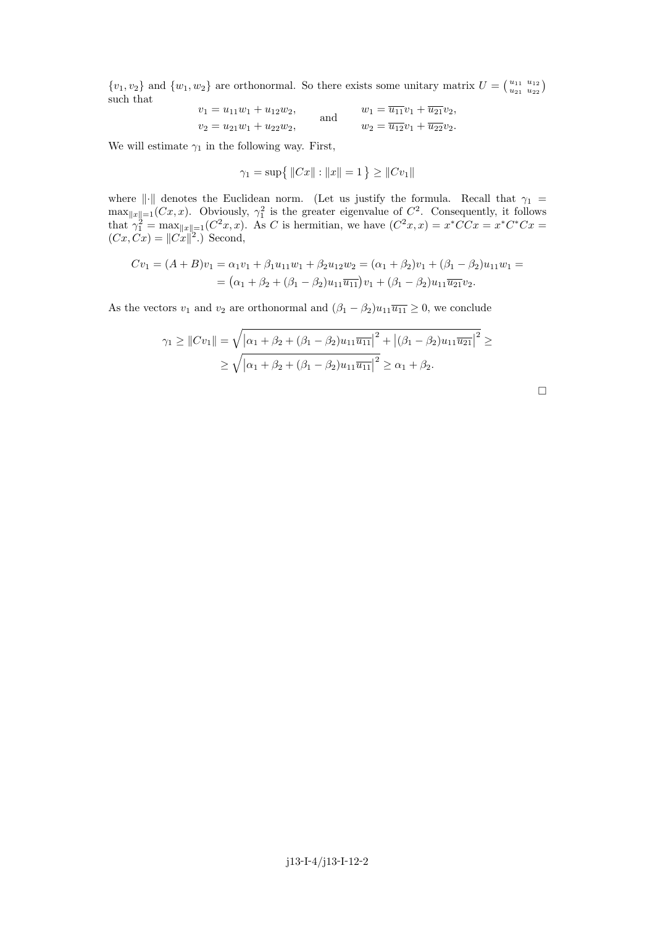$\{v_1, v_2\}$  and  $\{w_1, w_2\}$  are orthonormal. So there exists some unitary matrix  $U = \begin{pmatrix} u_{11} & u_{12} \\ u_{21} & u_{22} \end{pmatrix}$ such that

$$
v_1 = u_{11}w_1 + u_{12}w_2,
$$
 and  $w_1 = \overline{u_{11}}v_1 + \overline{u_{21}}v_2,$   
 $v_2 = u_{21}w_1 + u_{22}w_2,$  and  $w_2 = \overline{u_{12}}v_1 + \overline{u_{22}}v_2.$ 

We will estimate  $\gamma_1$  in the following way. First,

$$
\gamma_1 = \sup \{ ||Cx|| : ||x|| = 1 \} \ge ||Cv_1||
$$

where  $\|\cdot\|$  denotes the Euclidean norm. (Let us justify the formula. Recall that  $\gamma_1$  =  $\max_{\|x\|=1} (Cx, x)$ . Obviously,  $\gamma_1^2$  is the greater eigenvalue of  $C^2$ . Consequently, it follows that  $\gamma_1^2 = \max_{\|x\|=1} (C^2x, x)$ . As C is hermitian, we have  $(C^2x, x) = x^*CCx = x^*C^*Cx$  $(Cx, Cx) = ||Cx||^2$ . Second,

$$
Cv_1 = (A + B)v_1 = \alpha_1 v_1 + \beta_1 u_{11} w_1 + \beta_2 u_{12} w_2 = (\alpha_1 + \beta_2)v_1 + (\beta_1 - \beta_2)u_{11} w_1 =
$$
  
=  $(\alpha_1 + \beta_2 + (\beta_1 - \beta_2)u_{11} \overline{u_{11}})v_1 + (\beta_1 - \beta_2)u_{11} \overline{u_{21}}v_2.$ 

As the vectors  $v_1$  and  $v_2$  are orthonormal and  $(\beta_1 - \beta_2)u_{11}\overline{u_{11}} \geq 0$ , we conclude

$$
\gamma_1 \ge ||Cv_1|| = \sqrt{|\alpha_1 + \beta_2 + (\beta_1 - \beta_2)u_{11}\overline{u_{11}}|^2 + |(\beta_1 - \beta_2)u_{11}\overline{u_{21}}|^2} \ge
$$
  
 
$$
\ge \sqrt{|\alpha_1 + \beta_2 + (\beta_1 - \beta_2)u_{11}\overline{u_{11}}|^2} \ge \alpha_1 + \beta_2.
$$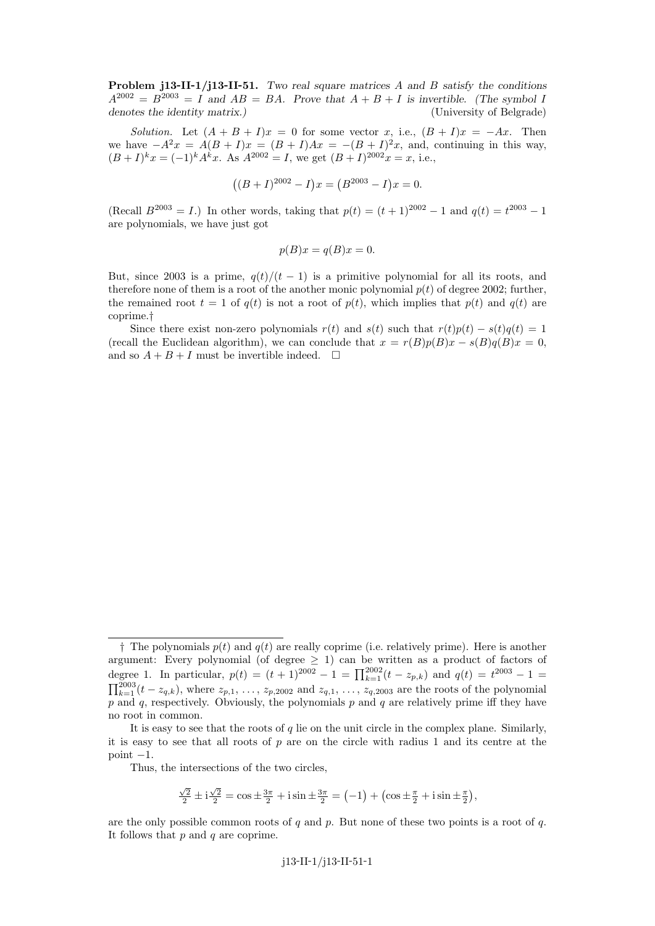**Problem j13-II-1/j13-II-51.** Two real square matrices  $\vec{A}$  and  $\vec{B}$  satisfy the conditions  $A^{2002} = B^{2003} = I$  and  $AB = BA$ . Prove that  $A + B + I$  is invertible. (The symbol I denotes the identity matrix.) (University of Belgrade)

Solution. Let  $(A + B + I)x = 0$  for some vector x, i.e.,  $(B + I)x = -Ax$ . Then we have  $-A^2x = A(B+I)x = (B+I)Ax = -(B+I)^2x$ , and, continuing in this way,  $(B+I)^k x = (-1)^k A^k x$ . As  $A^{2002} = I$ , we get  $(B+I)^{2002} x = x$ , i.e.,

$$
((B+I)^{2002} - I)x = (B^{2003} - I)x = 0.
$$

(Recall  $B^{2003} = I$ .) In other words, taking that  $p(t) = (t+1)^{2002} - 1$  and  $q(t) = t^{2003} - 1$ are polynomials, we have just got

$$
p(B)x = q(B)x = 0.
$$

But, since 2003 is a prime,  $q(t)/(t-1)$  is a primitive polynomial for all its roots, and therefore none of them is a root of the another monic polynomial  $p(t)$  of degree 2002; further, the remained root  $t = 1$  of  $q(t)$  is not a root of  $p(t)$ , which implies that  $p(t)$  and  $q(t)$  are coprime.†

Since there exist non-zero polynomials  $r(t)$  and  $s(t)$  such that  $r(t)p(t) - s(t)q(t) = 1$ (recall the Euclidean algorithm), we can conclude that  $x = r(B)p(B)x - s(B)q(B)x = 0$ , and so  $A + B + I$  must be invertible indeed.  $\Box$ 

$$
\frac{\sqrt{2}}{2} \pm i \frac{\sqrt{2}}{2} = \cos \pm \frac{3\pi}{2} + i \sin \pm \frac{3\pi}{2} = (-1) + (\cos \pm \frac{\pi}{2} + i \sin \pm \frac{\pi}{2}),
$$

are the only possible common roots of q and p. But none of these two points is a root of q. It follows that  $p$  and  $q$  are coprime.

 $\dagger$  The polynomials  $p(t)$  and  $q(t)$  are really coprime (i.e. relatively prime). Here is another argument: Every polynomial (of degree  $\geq 1$ ) can be written as a product of factors of degree 1. In particular,  $p(t) = (t+1)^{2002} - 1 = \prod_{k=1}^{2002} (t - z_{p,k})$  and  $q(t) = t^{2003} - 1 =$  $\prod_{k=1}^{2003} (t - z_{q,k})$ , where  $z_{p,1}, \ldots, z_{p,2002}$  and  $z_{q,1}, \ldots, z_{q,2003}$  are the roots of the polynomial  $p$  and  $q$ , respectively. Obviously, the polynomials  $p$  and  $q$  are relatively prime iff they have no root in common.

It is easy to see that the roots of q lie on the unit circle in the complex plane. Similarly, it is easy to see that all roots of  $p$  are on the circle with radius 1 and its centre at the point  $-1$ .

Thus, the intersections of the two circles,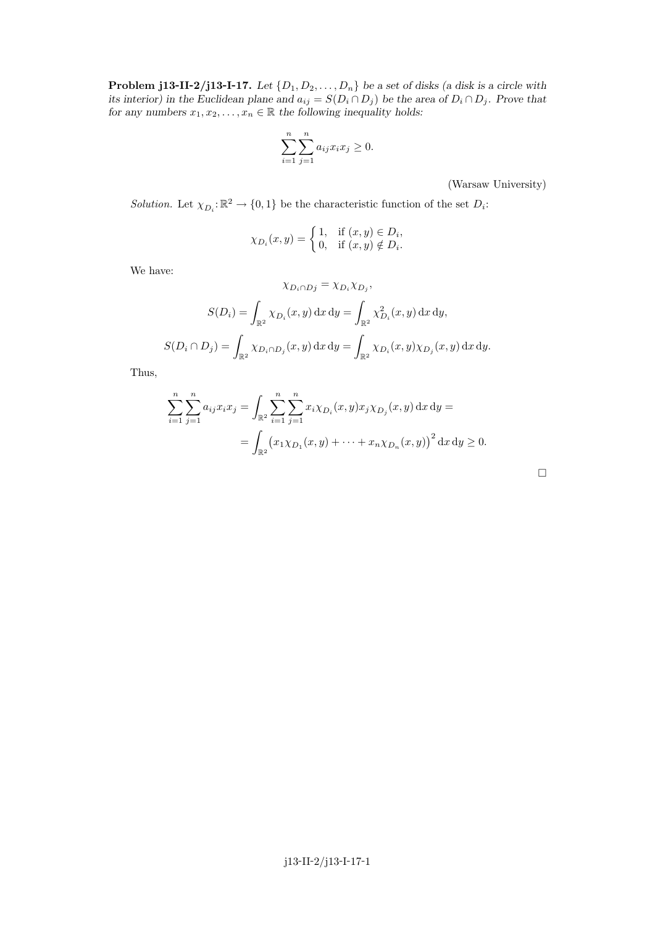**Problem j13-II-2/j13-I-17.** Let  $\{D_1, D_2, \ldots, D_n\}$  be a set of disks (a disk is a circle with its interior) in the Euclidean plane and  $a_{ij} = S(D_i \cap D_j)$  be the area of  $D_i \cap D_j$ . Prove that for any numbers  $x_1, x_2, \ldots, x_n \in \mathbb{R}$  the following inequality holds:

$$
\sum_{i=1}^{n} \sum_{j=1}^{n} a_{ij} x_i x_j \ge 0.
$$

(Warsaw University)

Solution. Let  $\chi_{D_i}: \mathbb{R}^2 \to \{0,1\}$  be the characteristic function of the set  $D_i$ :

$$
\chi_{D_i}(x, y) = \begin{cases} 1, & \text{if } (x, y) \in D_i, \\ 0, & \text{if } (x, y) \notin D_i. \end{cases}
$$

We have:

$$
\chi_{D_i \cap Dj} = \chi_{D_i} \chi_{D_j},
$$
  

$$
S(D_i) = \int_{\mathbb{R}^2} \chi_{D_i}(x, y) dx dy = \int_{\mathbb{R}^2} \chi_{D_i}^2(x, y) dx dy,
$$
  

$$
S(D_i \cap D_j) = \int_{\mathbb{R}^2} \chi_{D_i \cap D_j}(x, y) dx dy = \int_{\mathbb{R}^2} \chi_{D_i}(x, y) \chi_{D_j}(x, y) dx dy.
$$

Thus,

$$
\sum_{i=1}^{n} \sum_{j=1}^{n} a_{ij} x_i x_j = \int_{\mathbb{R}^2} \sum_{i=1}^{n} \sum_{j=1}^{n} x_i \chi_{D_i}(x, y) x_j \chi_{D_j}(x, y) dx dy =
$$
  
= 
$$
\int_{\mathbb{R}^2} (x_1 \chi_{D_1}(x, y) + \dots + x_n \chi_{D_n}(x, y))^2 dx dy \ge 0.
$$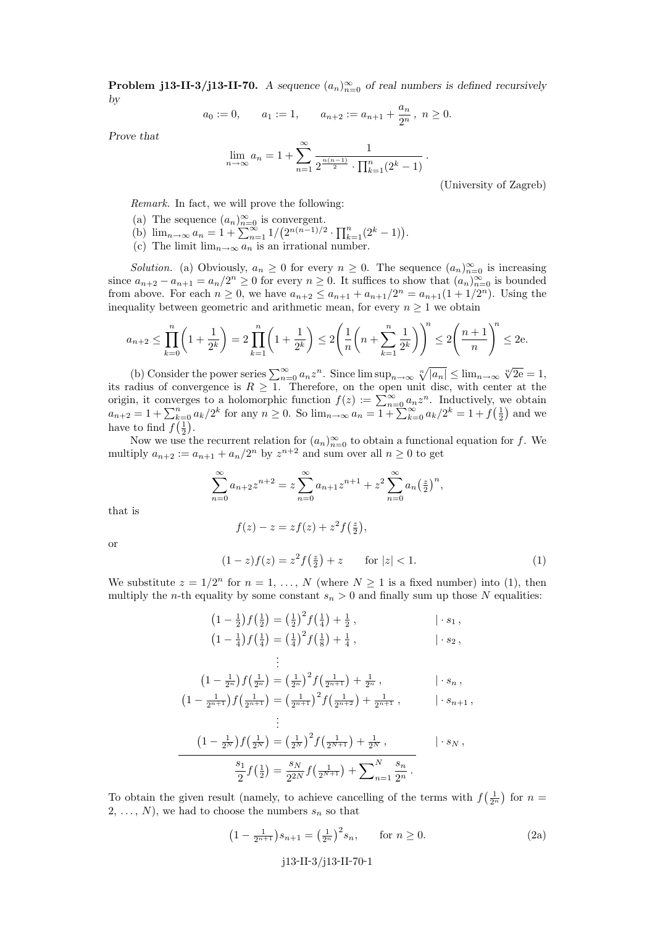**Problem j13-II-3/j13-II-70.** A sequence  $(a_n)_{n=0}^{\infty}$  of real numbers is defined recursively by

$$
a_0 := 0
$$
,  $a_1 := 1$ ,  $a_{n+2} := a_{n+1} + \frac{a_n}{2^n}$ ,  $n \ge 0$ .

Prove that

$$
\lim_{n \to \infty} a_n = 1 + \sum_{n=1}^{\infty} \frac{1}{2^{\frac{n(n-1)}{2}} \cdot \prod_{k=1}^{n} (2^k - 1)}.
$$

(University of Zagreb)

Remark. In fact, we will prove the following:

- (a) The sequence  $(a_n)_{n=0}^{\infty}$  is convergent.
- (b)  $\lim_{n\to\infty} a_n = 1 + \sum_{n=1}^{\infty} 1/(2^{n(n-1)/2} \cdot \prod_{k=1}^{n} (2^k 1)).$
- (c) The limit  $\lim_{n\to\infty} a_n$  is an irrational number.

Solution. (a) Obviously,  $a_n \geq 0$  for every  $n \geq 0$ . The sequence  $(a_n)_{n=0}^{\infty}$  is increasing since  $a_{n+2} - a_{n+1} = a_n/2^n \ge 0$  for every  $n \ge 0$ . It suffices to show that  $(a_n)_{n=0}^{\infty}$  is bounded from above. For each  $n \ge 0$ , we have  $a_{n+2} \le a_{n+1} + a_{n+1}/2^n = a_{n+1}(1 + 1/2^n)$ . Using the inequality between geometric and arithmetic mean, for every  $n \geq 1$  we obtain

$$
a_{n+2} \le \prod_{k=0}^n \left(1 + \frac{1}{2^k}\right) = 2\prod_{k=1}^n \left(1 + \frac{1}{2^k}\right) \le 2\left(\frac{1}{n}\left(n + \sum_{k=1}^n \frac{1}{2^k}\right)\right)^n \le 2\left(\frac{n+1}{n}\right)^n \le 2e.
$$

(b) Consider the power series  $\sum_{n=0}^{\infty} a_n z^n$ . Since  $\limsup_{n\to\infty} \sqrt[n]{|a_n|} \leq \lim_{n\to\infty} \sqrt[n]{2e} = 1$ , its radius of convergence is  $R \geq 1$ . Therefore, on the open unit disc, with center at the origin, it converges to a holomorphic function  $f(z) := \sum_{n=0}^{\infty} a_n z^n$ . Inductively, we obtain  $a_{n+2} = 1 + \sum_{k=0}^{n} a_k/2^k$  for any  $n \ge 0$ . So  $\lim_{n \to \infty} a_n = 1 + \sum_{k=0}^{\infty} a_k/2^k = 1 + f(\frac{1}{2})$  and we have to find  $f(\frac{1}{2})$ .

Now we use the recurrent relation for  $(a_n)_{n=0}^{\infty}$  to obtain a functional equation for f. We multiply  $a_{n+2} := a_{n+1} + a_n/2^n$  by  $z^{n+2}$  and sum over all  $n \geq 0$  to get

$$
\sum_{n=0}^{\infty} a_{n+2} z^{n+2} = z \sum_{n=0}^{\infty} a_{n+1} z^{n+1} + z^2 \sum_{n=0}^{\infty} a_n \left(\frac{z}{2}\right)^n,
$$

that is

 $f(z) - z = z f(z) + z^2 f(\frac{z}{2}),$ 

or

$$
(1-z)f(z) = z^2 f(\frac{z}{2}) + z \qquad \text{for } |z| < 1.
$$
 (1)

We substitute  $z = 1/2^n$  for  $n = 1, ..., N$  (where  $N \ge 1$  is a fixed number) into (1), then multiply the *n*-th equality by some constant  $s_n > 0$  and finally sum up those N equalities:

$$
(1 - \frac{1}{2})f(\frac{1}{2}) = (\frac{1}{2})^2 f(\frac{1}{4}) + \frac{1}{2},
$$
\n
$$
(1 - \frac{1}{4})f(\frac{1}{4}) = (\frac{1}{4})^2 f(\frac{1}{8}) + \frac{1}{4},
$$
\n
$$
\vdots
$$
\n
$$
\vdots
$$

$$
\left(1 - \frac{1}{2^n}\right) f\left(\frac{1}{2^n}\right) = \left(\frac{1}{2^n}\right)^2 f\left(\frac{1}{2^{n+1}}\right) + \frac{1}{2^n}, \qquad |\cdot s_n,
$$
  

$$
\left(1 - \frac{1}{2^{n+1}}\right) f\left(\frac{1}{2^{n+1}}\right) = \left(\frac{1}{2^{n+1}}\right)^2 f\left(\frac{1}{2^{n+2}}\right) + \frac{1}{2^{n+1}}, \qquad |\cdot s_{n+1},
$$

$$
\frac{\left(1 - \frac{1}{2^N}\right) f\left(\frac{1}{2^N}\right) = \left(\frac{1}{2^N}\right)^2 f\left(\frac{1}{2^{N+1}}\right) + \frac{1}{2^N}, \qquad | \cdot s_N ,
$$

$$
\frac{s_1}{2} f\left(\frac{1}{2}\right) = \frac{s_N}{2^{2N}} f\left(\frac{1}{2^{N+1}}\right) + \sum_{n=1}^N \frac{s_n}{2^n}.
$$

To obtain the given result (namely, to achieve cancelling of the terms with  $f(\frac{1}{2^n})$  for  $n =$  $2, \ldots, N$ , we had to choose the numbers  $s_n$  so that

$$
\left(1 - \frac{1}{2^{n+1}}\right) s_{n+1} = \left(\frac{1}{2^n}\right)^2 s_n, \qquad \text{for } n \ge 0.
$$
 (2a)

## j13-II-3/j13-II-70-1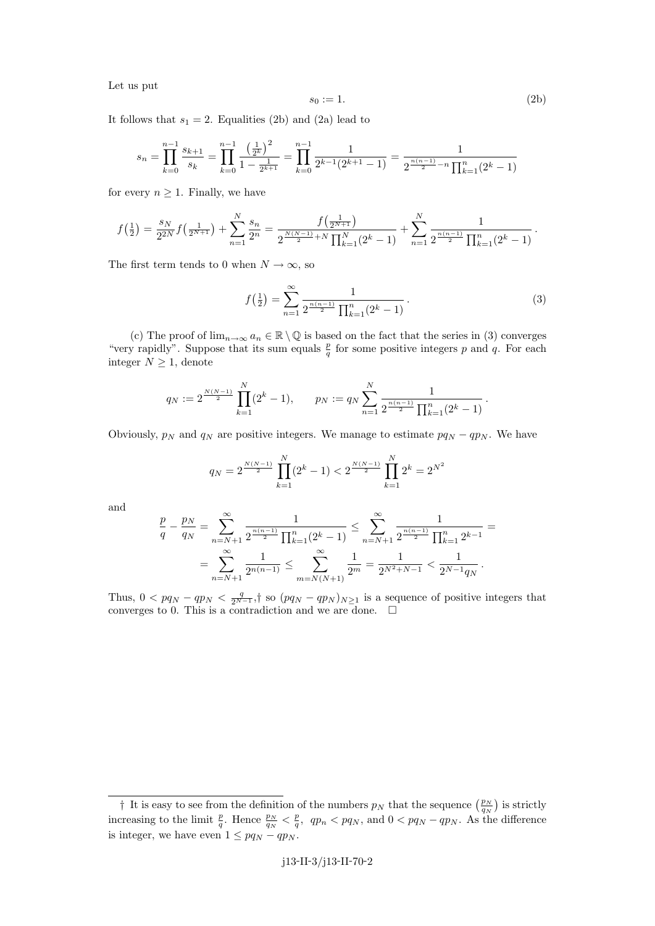Let us put

$$
s_0 := 1.\t\t(2b)
$$

It follows that  $s_1 = 2$ . Equalities (2b) and (2a) lead to

$$
s_n = \prod_{k=0}^{n-1} \frac{s_{k+1}}{s_k} = \prod_{k=0}^{n-1} \frac{\left(\frac{1}{2^k}\right)^2}{1 - \frac{1}{2^{k+1}}} = \prod_{k=0}^{n-1} \frac{1}{2^{k-1}(2^{k+1}-1)} = \frac{1}{2^{\frac{n(n-1)}{2}-n} \prod_{k=1}^n (2^k-1)}
$$

for every  $n \geq 1$ . Finally, we have

$$
f\left(\frac{1}{2}\right) = \frac{s_N}{2^{2N}} f\left(\frac{1}{2^{N+1}}\right) + \sum_{n=1}^N \frac{s_n}{2^n} = \frac{f\left(\frac{1}{2^{N+1}}\right)}{2^{\frac{N(N-1)}{2}+N} \prod_{k=1}^N (2^k - 1)} + \sum_{n=1}^N \frac{1}{2^{\frac{n(n-1)}{2}} \prod_{k=1}^n (2^k - 1)}.
$$

The first term tends to 0 when  $N \to \infty$ , so

$$
f\left(\frac{1}{2}\right) = \sum_{n=1}^{\infty} \frac{1}{2^{\frac{n(n-1)}{2}} \prod_{k=1}^{n} (2^k - 1)}.
$$
 (3)

(c) The proof of  $\lim_{n\to\infty} a_n \in \mathbb{R} \setminus \mathbb{Q}$  is based on the fact that the series in (3) converges "very rapidly". Suppose that its sum equals  $\frac{p}{q}$  for some positive integers p and q. For each integer  $N \geq 1$ , denote

$$
q_N := 2^{\frac{N(N-1)}{2}} \prod_{k=1}^N (2^k - 1), \qquad p_N := q_N \sum_{n=1}^N \frac{1}{2^{\frac{n(n-1)}{2}} \prod_{k=1}^n (2^k - 1)}.
$$

Obviously,  $p_N$  and  $q_N$  are positive integers. We manage to estimate  $pq_N - qp_N$ . We have

$$
q_N = 2^{\frac{N(N-1)}{2}} \prod_{k=1}^N (2^k - 1) < 2^{\frac{N(N-1)}{2}} \prod_{k=1}^N 2^k = 2^{N^2}
$$

and

$$
\frac{p}{q} - \frac{p_N}{q_N} = \sum_{n=N+1}^{\infty} \frac{1}{2^{\frac{n(n-1)}{2}} \prod_{k=1}^n (2^k - 1)} \le \sum_{n=N+1}^{\infty} \frac{1}{2^{\frac{n(n-1)}{2}} \prod_{k=1}^n 2^{k-1}} = \sum_{n=N+1}^{\infty} \frac{1}{2^{n(n-1)}} \le \sum_{m=N(N+1)}^{\infty} \frac{1}{2^m} = \frac{1}{2^{N^2 + N - 1}} < \frac{1}{2^{N-1} q_N}.
$$

Thus,  $0 < pq_N - qp_N < \frac{q}{2^{N-1}}$ ,† so  $(pq_N - qp_N)_{N \geq 1}$  is a sequence of positive integers that converges to 0. This is a contradiction and we are done.  $\square$ 

<sup>&</sup>lt;sup>†</sup> It is easy to see from the definition of the numbers  $p_N$  that the sequence  $\left(\frac{p_N}{q_N}\right)$  is strictly increasing to the limit  $\frac{p}{q}$ . Hence  $\frac{p_N}{q_N} < \frac{p}{q}$ ,  $qp_n < pq_N$ , and  $0 < pq_N - qp_N$ . As the difference is integer, we have even  $1 \leq pq_N - qp_N$ .